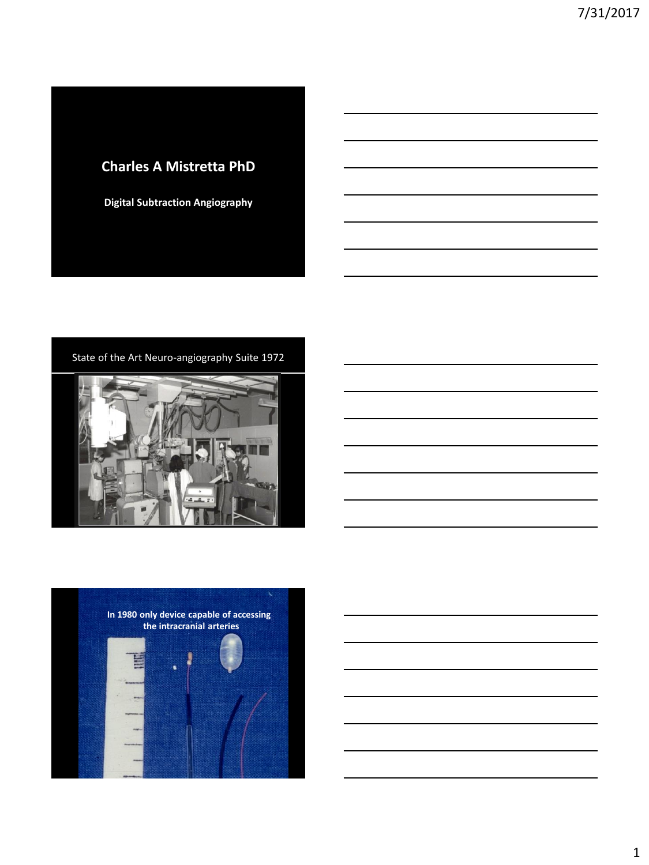### **Charles A Mistretta PhD**

**Digital Subtraction Angiography**

State of the Art Neuro-angiography Suite 1972





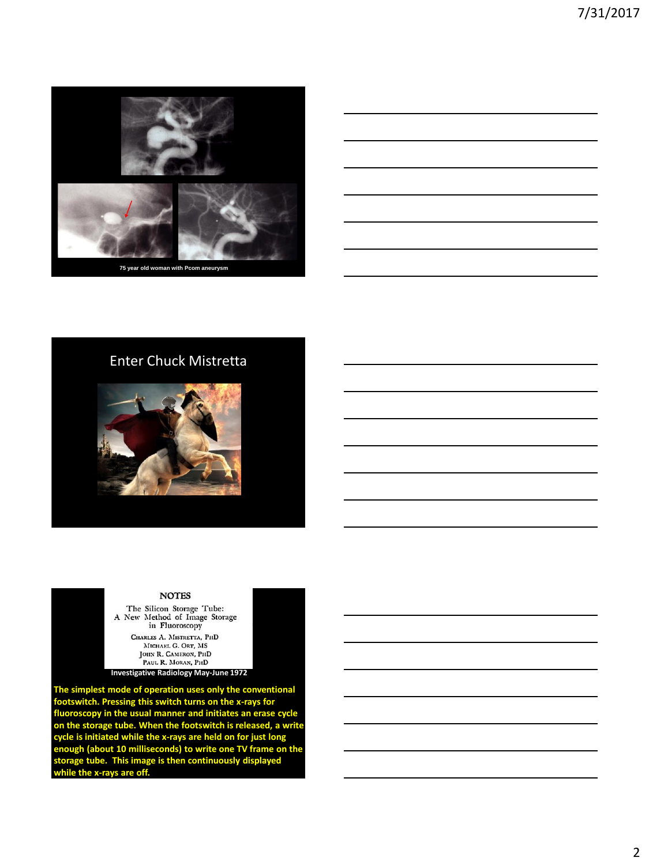

### Enter Chuck Mistretta



#### **NOTES**

The Silicon Storage Tube:<br>A New Method of Image Storage in Fluoroscopy CHARLES A. MISTRETTA, PHD MICHAEL G. ORT, MS JOHN R. CAMERON, PHD PAUL R. MORAN, PHD

**Investigative Radiology May-June 1972**

**The simplest mode of operation uses only the conventional footswitch. Pressing this switch turns on the x-rays for fluoroscopy in the usual manner and initiates an erase cycle on the storage tube. When the footswitch is released, a write cycle is initiated while the x-rays are held on for just long enough (about 10 milliseconds) to write one TV frame on the storage tube. This image is then continuously displayed while the x-rays are off.**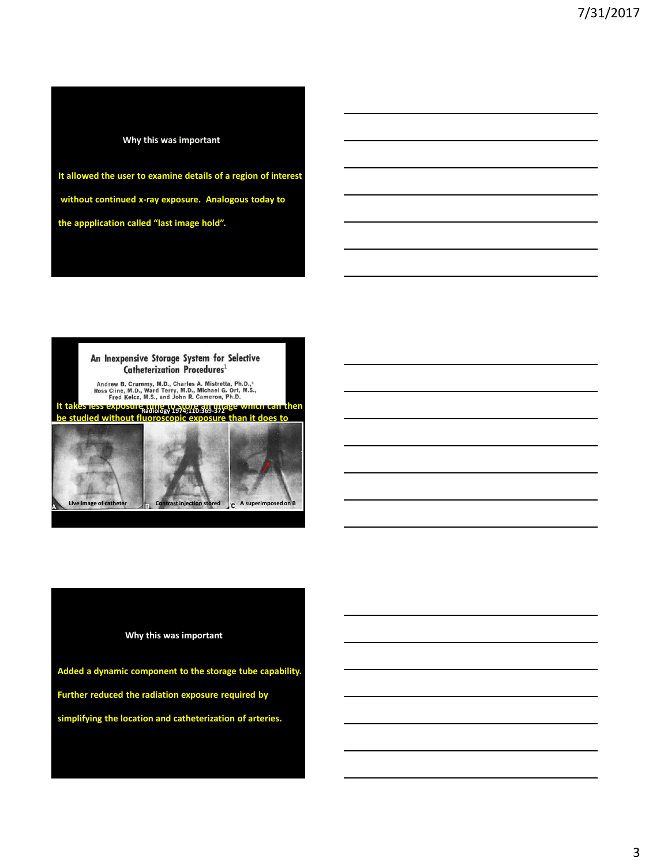### **Why this was important**

**It allowed the user to examine details of a region of interest without continued x-ray exposure. Analogous today to the appplication called "last image hold".** 



#### **Why this was important**

**Added a dynamic component to the storage tube capability. Further reduced the radiation exposure required by simplifying the location and catheterization of arteries.**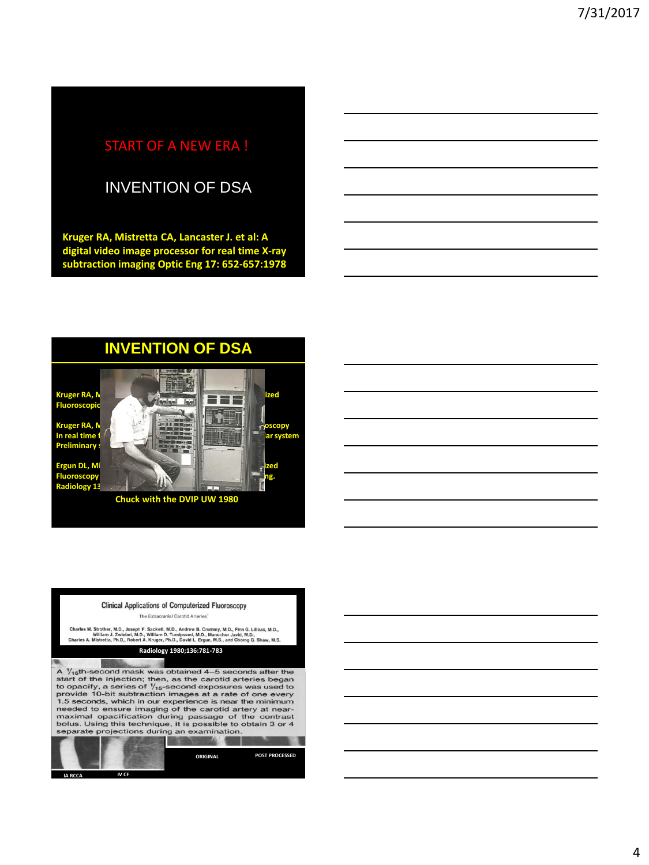# START OF A NEW ERA !

# INVENTION OF DSA

**Kruger RA, Mistretta CA, Lancaster J. et al: A digital video image processor for real time X-ray subtraction imaging Optic Eng 17: 652-657:1978**

### **INVENTION OF DSA**

**Kruger RA, Mistretta CA, Mistretta CA, Mistretta CA, A, Real time computerized in the computerized in the computerized in the computerized in the computerized in the computation of the computerized in the computerized in Fluorosco** 

**Kruger RA, Nistra Ca, House, Ca, House, Ca, Computerized fluoroscopy In real time for all and cardiovasive visualization of the cardiovascular system Preliminary** 

**Ergun DL, Mi broscopy Radiology 132; 739-742, 1979**

**Chuck with the DVIP UW 1980**

|                |       | <b>Clinical Applications of Computerized Fluoroscopy</b>                                                                                                                                                                                                                                                                                                                                                                                                                                                                                                            |                       |
|----------------|-------|---------------------------------------------------------------------------------------------------------------------------------------------------------------------------------------------------------------------------------------------------------------------------------------------------------------------------------------------------------------------------------------------------------------------------------------------------------------------------------------------------------------------------------------------------------------------|-----------------------|
|                |       | The Extracranial Carotid Arteries <sup>1</sup>                                                                                                                                                                                                                                                                                                                                                                                                                                                                                                                      |                       |
|                |       | Charles M. Strother, M.D., Joseph F. Sackett, M.D., Andrew B. Crummy, M.D., Finn G. Lilleas. M.D.,<br>William J. Zwiebel, M.D., William D. Turnipseed, M.D., Manucher Javid, M.D.,<br>Charles A. Mistretta, Ph.D., Robert A. Kruger, Ph.D., David L. Ergun, M.S., and Chorng G. Shaw, M.S.                                                                                                                                                                                                                                                                          |                       |
|                |       | Radiology 1980;136:781-783                                                                                                                                                                                                                                                                                                                                                                                                                                                                                                                                          |                       |
|                |       |                                                                                                                                                                                                                                                                                                                                                                                                                                                                                                                                                                     |                       |
|                |       | A $\frac{1}{15}$ th-second mask was obtained 4-5 seconds after the<br>start of the injection; then, as the carotid arteries began<br>to opacify, a series of $\frac{1}{15}$ -second exposures was used to<br>provide 10-bit subtraction images at a rate of one every<br>1.5 seconds, which in our experience is near the minimum<br>needed to ensure imaging of the carotid artery at near-<br>maximal opacification during passage of the contrast<br>bolus. Using this technique, it is possible to obtain 3 or 4<br>separate projections during an examination. |                       |
|                |       |                                                                                                                                                                                                                                                                                                                                                                                                                                                                                                                                                                     |                       |
|                |       | ORIGINAL                                                                                                                                                                                                                                                                                                                                                                                                                                                                                                                                                            | <b>POST PROCESSED</b> |
| <b>IA RCCA</b> | IV CF |                                                                                                                                                                                                                                                                                                                                                                                                                                                                                                                                                                     |                       |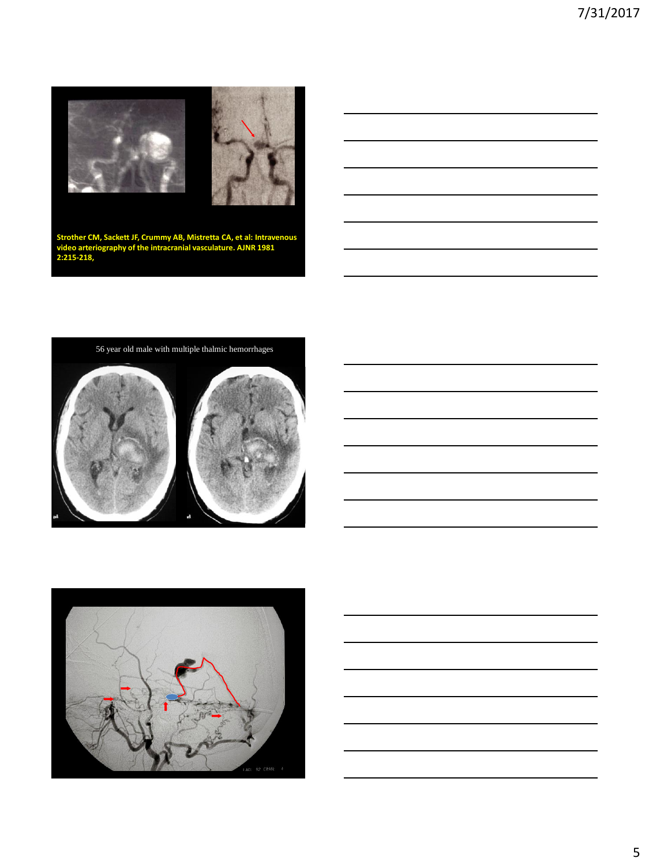

**Strother CM, Sackett JF, Crummy AB, Mistretta CA, et al: Intravenous video arteriography of the intracranial vasculature. AJNR 1981 2:215-218,**







5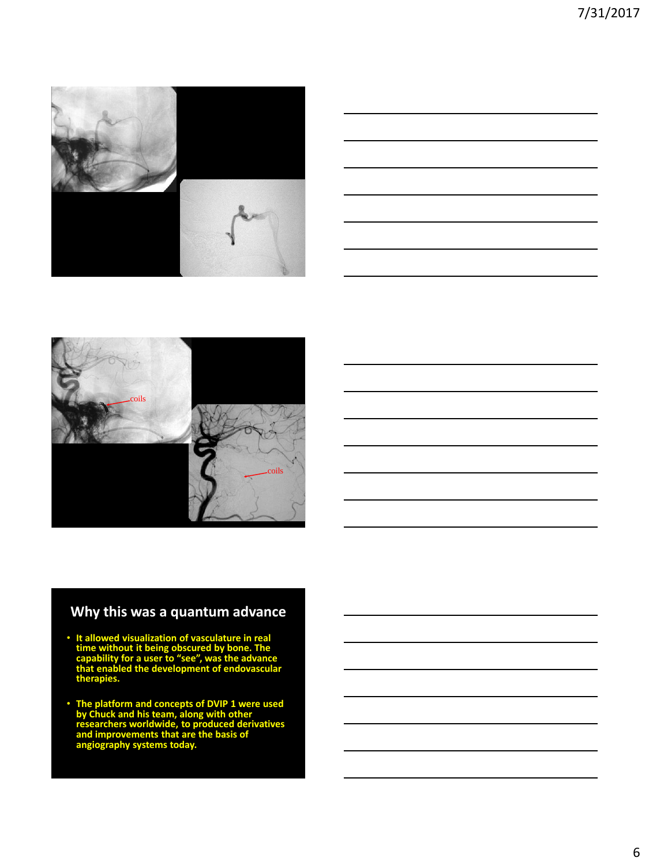





## **Why this was a quantum advance**

- **It allowed visualization of vasculature in real time without it being obscured by bone. The capability for a user to "see", was the advance that enabled the development of endovascular therapies.**
- **The platform and concepts of DVIP 1 were used by Chuck and his team, along with other researchers worldwide, to produced derivatives and improvements that are the basis of angiography systems today.**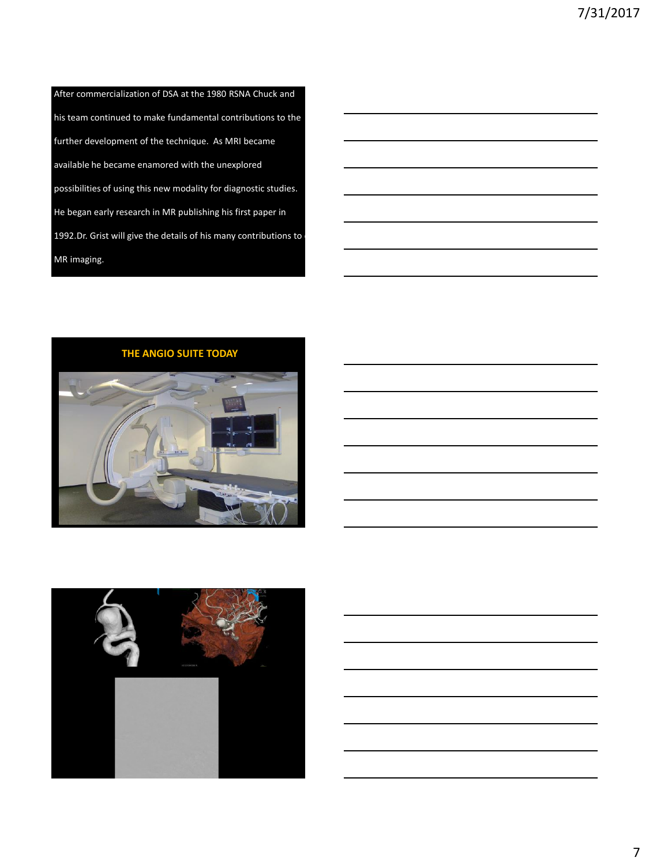After commercialization of DSA at the 1980 RSNA Chuck and his team continued to make fundamental contributions to the further development of the technique. As MRI became available he became enamored with the unexplored possibilities of using this new modality for diagnostic studies. He began early research in MR publishing his first paper in 1992.Dr. Grist will give the details of his many contributions to MR imaging.



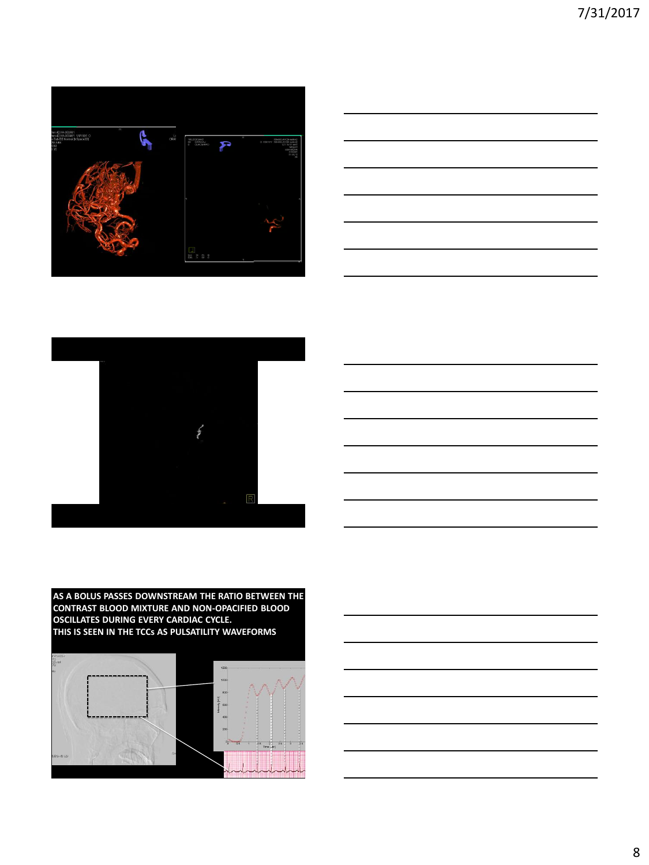





**AS A BOLUS PASSES DOWNSTREAM THE RATIO BETWEEN THE CONTRAST BLOOD MIXTURE AND NON-OPACIFIED BLOOD OSCILLATES DURING EVERY CARDIAC CYCLE. THIS IS SEEN IN THE TCCs AS PULSATILITY WAVEFORMS**



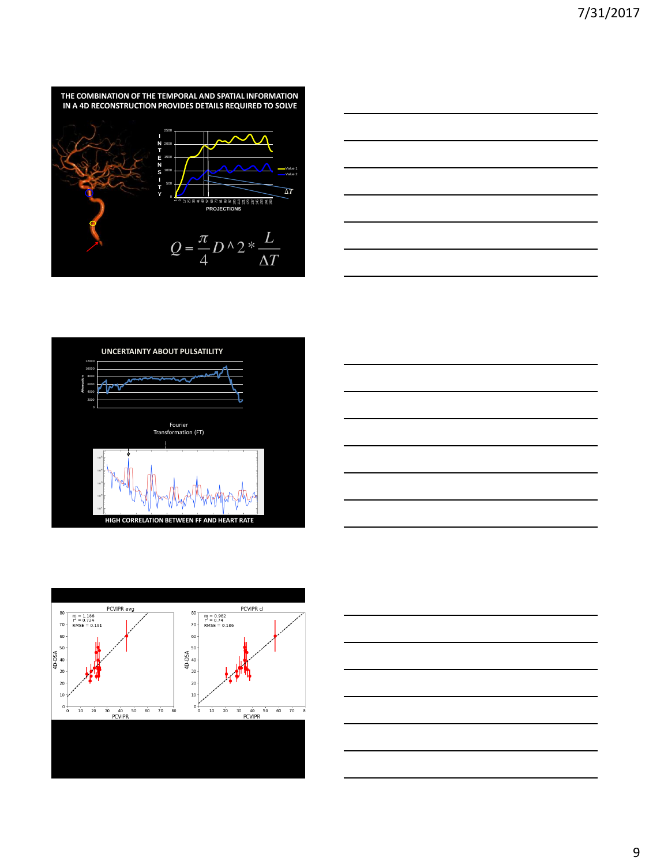